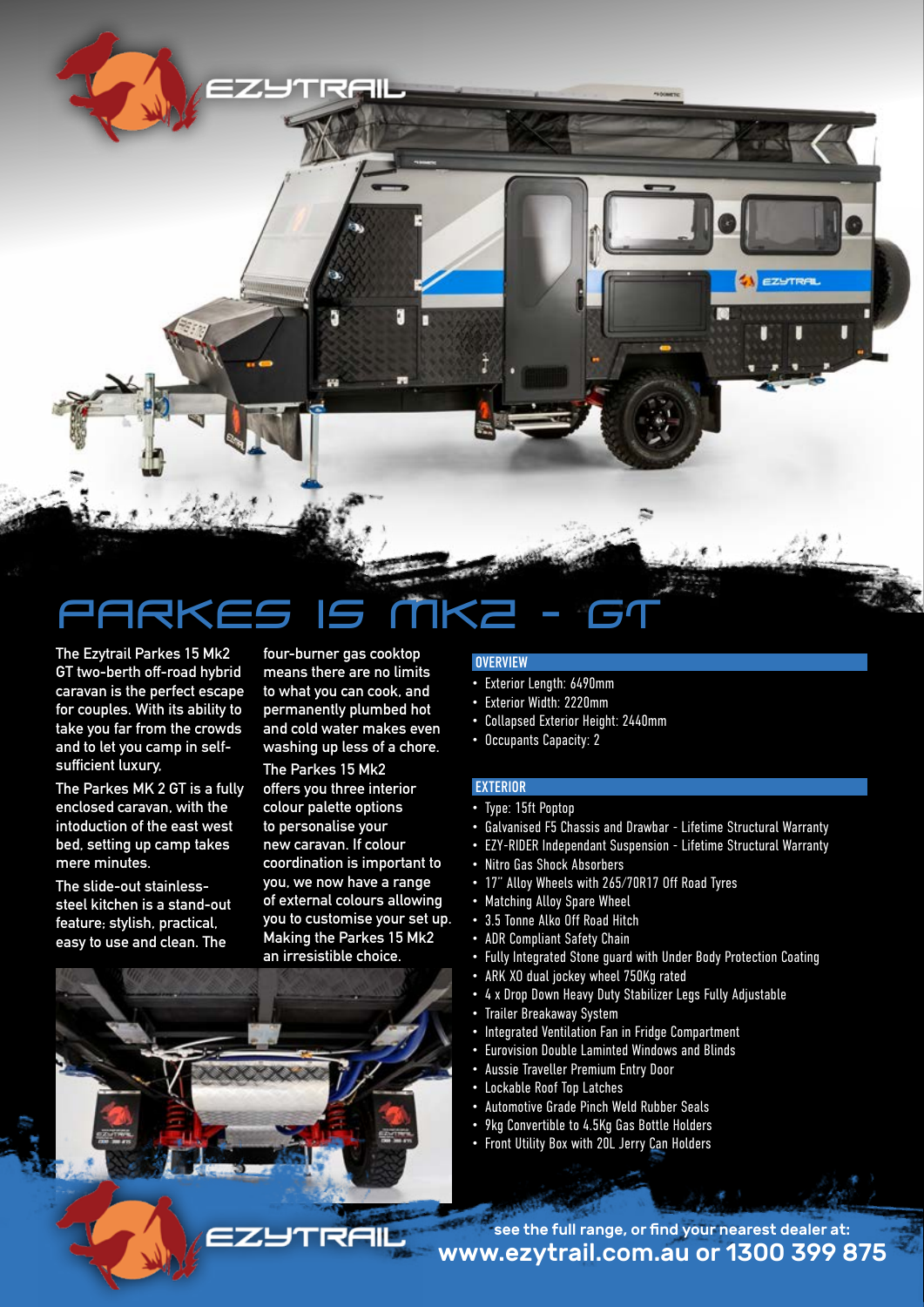

**The Ezytrail Parkes 15 Mk2 GT two-berth off-road hybrid caravan is the perfect escape for couples. With its ability to take you far from the crowds and to let you camp in selfsufficient luxury,** 

**The Parkes MK 2 GT is a fully enclosed caravan, with the intoduction of the east west bed, setting up camp takes mere minutes.** 

**The slide-out stainlesssteel kitchen is a stand-out feature; stylish, practical, easy to use and clean. The** 

**four-burner gas cooktop means there are no limits to what you can cook, and permanently plumbed hot and cold water makes even washing up less of a chore.**

**The Parkes 15 Mk2 offers you three interior colour palette options to personalise your new caravan. If colour coordination is important to you, we now have a range of external colours allowing you to customise your set up. Making the Parkes 15 Mk2 an irresistible choice.** 

# **OVERVIEW**

- Exterior Length: 6490mm
- Exterior Width: 2220mm
- Collapsed Exterior Height: 2440mm
- Occupants Capacity: 2

## **EXTERIOR**

- Type: 15ft Poptop
- Galvanised F5 Chassis and Drawbar Lifetime Structural Warranty

EZUTRAL

- EZY-RIDER Independant Suspension Lifetime Structural Warranty
- Nitro Gas Shock Absorbers
- 17" Alloy Wheels with 265/70R17 Off Road Tyres
- Matching Alloy Spare Wheel
- 3.5 Tonne Alko Off Road Hitch
- ADR Compliant Safety Chain
- Fully Integrated Stone guard with Under Body Protection Coating
- ARK XO dual jockey wheel 750Kg rated
- 4 x Drop Down Heavy Duty Stabilizer Legs Fully Adjustable
- Trailer Breakaway System
- Integrated Ventilation Fan in Fridge Compartment
- Eurovision Double Laminted Windows and Blinds
- Aussie Traveller Premium Entry Door
- Lockable Roof Top Latches
- Automotive Grade Pinch Weld Rubber Seals
- 9kg Convertible to 4.5Kg Gas Bottle Holders
- Front Utility Box with 20L Jerry Can Holders

www.ezytrail.com.au or 1300 399 875 see the full range, or find your nearest dealer at: